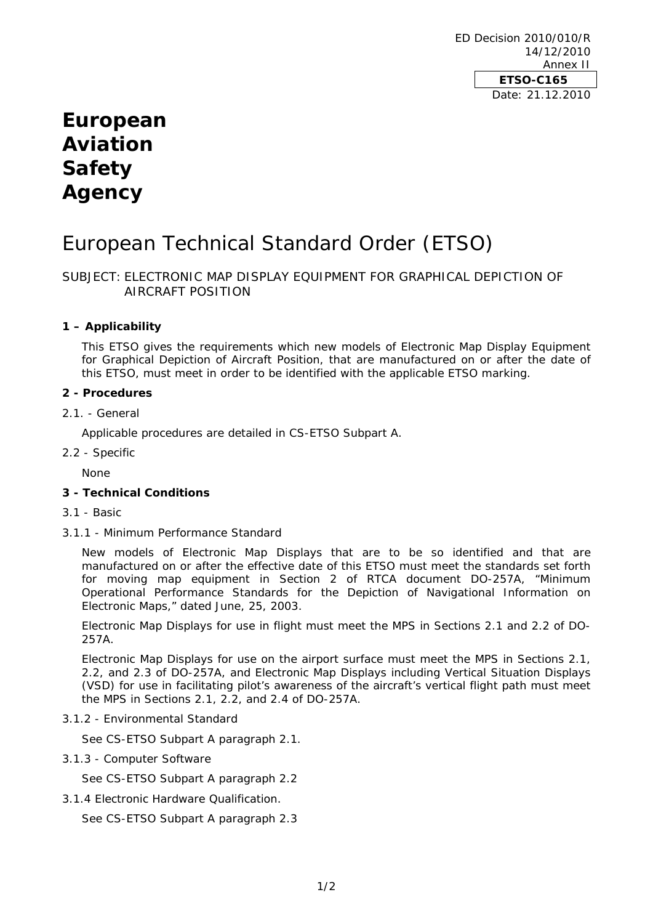ED Decision 2010/010/R 14/12/2010 Annex II **ETSO-C165**  Date: 21.12.2010

## **European Aviation Safety Agency**

# European Technical Standard Order (ETSO)

## SUBJECT: ELECTRONIC MAP DISPLAY EQUIPMENT FOR GRAPHICAL DEPICTION OF AIRCRAFT POSITION

### **1 – Applicability**

This ETSO gives the requirements which new models of Electronic Map Display Equipment for Graphical Depiction of Aircraft Position, that are manufactured on or after the date of this ETSO, must meet in order to be identified with the applicable ETSO marking.

#### **2 - Procedures**

#### 2.1. - General

Applicable procedures are detailed in CS-ETSO Subpart A.

2.2 - Specific

None

### **3 - Technical Conditions**

- 3.1 Basic
- 3.1.1 Minimum Performance Standard

New models of Electronic Map Displays that are to be so identified and that are manufactured on or after the effective date of this ETSO must meet the standards set forth for moving map equipment in Section 2 of RTCA document DO-257A, "Minimum Operational Performance Standards for the Depiction of Navigational Information on Electronic Maps," dated June, 25, 2003.

Electronic Map Displays for use in flight must meet the MPS in Sections 2.1 and 2.2 of DO-257A.

Electronic Map Displays for use on the airport surface must meet the MPS in Sections 2.1, 2.2, and 2.3 of DO-257A, and Electronic Map Displays including Vertical Situation Displays (VSD) for use in facilitating pilot's awareness of the aircraft's vertical flight path must meet the MPS in Sections 2.1, 2.2, and 2.4 of DO-257A.

3.1.2 - Environmental Standard

See CS-ETSO Subpart A paragraph 2.1.

3.1.3 - Computer Software

See CS-ETSO Subpart A paragraph 2.2

3.1.4 Electronic Hardware Qualification.

See CS-ETSO Subpart A paragraph 2.3